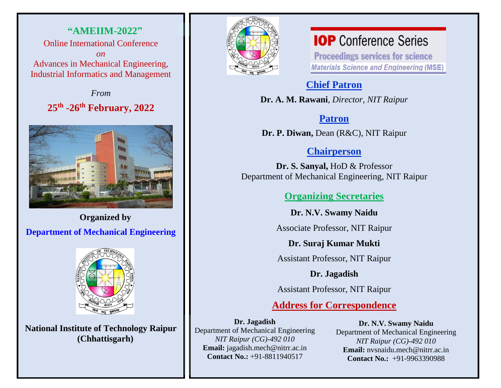**"AMEIIM-2022"** Online International Conference *on*  Advances in Mechanical Engineering, Industrial Informatics and Management

> *From* **25 th -26 th February, 2022**



**Organized by**

**Department of Mechanical Engineering**



**National Institute of Technology Raipur (Chhattisgarh)**



## **IOP** Conference Series

**Proceedings services for science Materials Science and Engineering (MSE)** 

## **Chief Patron**

**Dr. A. M. Rawani**, *Director, NIT Raipur*

## **Patron**

**Dr. P. Diwan,** Dean (R&C), NIT Raipur

## **Chairperson**

**Dr. S. Sanyal,** HoD & Professor Department of Mechanical Engineering, NIT Raipur

#### **Organizing Secretaries**

**Dr. N.V. Swamy Naidu** 

Associate Professor, NIT Raipur

**Dr. Suraj Kumar Mukti**

Assistant Professor, NIT Raipur

#### **Dr. Jagadish**

Assistant Professor, NIT Raipur

### **Address for Correspondence**

**Dr. Jagadish**

Department of Mechanical Engineering *NIT Raipur (CG)-492 010* **Email:** jagadish.mech@nitrr.ac.in **Contact No.:** +91-8811940517

**Dr. N.V. Swamy Naidu**

Department of Mechanical Engineering *NIT Raipur (CG)-492 010* **Email:** nvsnaidu.mech@nitrr.ac.in **Contact No.:** +91-9963390988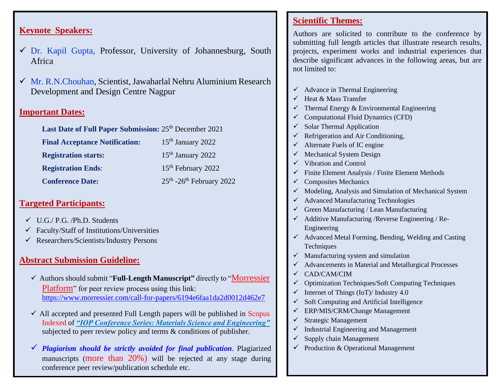#### **Keynote Speakers:**

- $\checkmark$  Dr. Kapil Gupta, Professor, University of Johannesburg, South Africa
- ✓ Mr. R.N.Chouhan, Scientist, Jawaharlal Nehru Aluminium Research Development and Design Centre Nagpur

#### **Important Dates:**

| Last Date of Full Paper Submission: 25 <sup>th</sup> December 2021 |                                        |
|--------------------------------------------------------------------|----------------------------------------|
| <b>Final Acceptance Notification:</b>                              | $15th$ January 2022                    |
| <b>Registration starts:</b>                                        | $15th$ January 2022                    |
| <b>Registration Ends:</b>                                          | 15 <sup>th</sup> February 2022         |
| <b>Conference Date:</b>                                            | $25th$ -26 <sup>th</sup> February 2022 |

#### **Targeted Participants:**

- $\checkmark$  U.G./ P.G. /Ph.D. Students
- $\checkmark$  Faculty/Staff of Institutions/Universities
- ✓ Researchers/Scientists/Industry Persons

#### **Abstract Submission Guideline:**

- ✓ Authorsshould submit "**Full-Length Manuscript"** directly to "Morressier Platform" for peer review process using this link: <https://www.morressier.com/call-for-papers/6194e6faa1da2d0012d462e7>
- $\checkmark$  All accepted and presented Full Length papers will be published in Scopus Indexed of *"IOP Conference Series: Materials Science and Engineering"*  subjected to peer review policy and terms & conditions of publisher.
- ✓ *Plagiarism should be strictly avoided for final publication*. Plagiarized manuscripts (more than 20%) will be rejected at any stage during conference peer review/publication schedule etc.

#### **Scientific Themes:**

Authors are solicited to contribute to the conference by submitting full length articles that illustrate research results, projects, experiment works and industrial experiences that describe significant advances in the following areas, but are not limited to:

- $\checkmark$  Advance in Thermal Engineering
- $\checkmark$  Heat & Mass Transfer
- $\checkmark$  Thermal Energy & Environmental Engineering
- ✓ Computational Fluid Dynamics (CFD)
- $\checkmark$  Solar Thermal Application
- $\checkmark$  Refrigeration and Air Conditioning,
- $\checkmark$  Alternate Fuels of IC engine
- $\checkmark$  Mechanical System Design
- ✓ Vibration and Control
- $\checkmark$  Finite Element Analysis / Finite Element Methods
- $\checkmark$  Composites Mechanics
- ✓ Modeling, Analysis and Simulation of Mechanical System
- ✓ Advanced Manufacturing Technologies
- $\checkmark$  Green Manufacturing / Lean Manufacturing
- $\checkmark$  Additive Manufacturing / Reverse Engineering / Re-Engineering
- $\checkmark$  Advanced Metal Forming, Bending, Welding and Casting Techniques
- $\checkmark$  Manufacturing system and simulation
- $\checkmark$  Advancements in Material and Metallurgical Processes
- ✓ CAD/CAM/CIM
- ✓ Optimization Techniques/Soft Computing Techniques
- $\checkmark$  Internet of Things (IoT)/ Industry 4.0
- $\checkmark$  Soft Computing and Artificial Intelligence
- $\checkmark$  ERP/MIS/CRM/Change Management
- $\checkmark$  Strategic Management
- $\checkmark$  Industrial Engineering and Management
- $\checkmark$  Supply chain Management
- $\checkmark$  Production & Operational Management